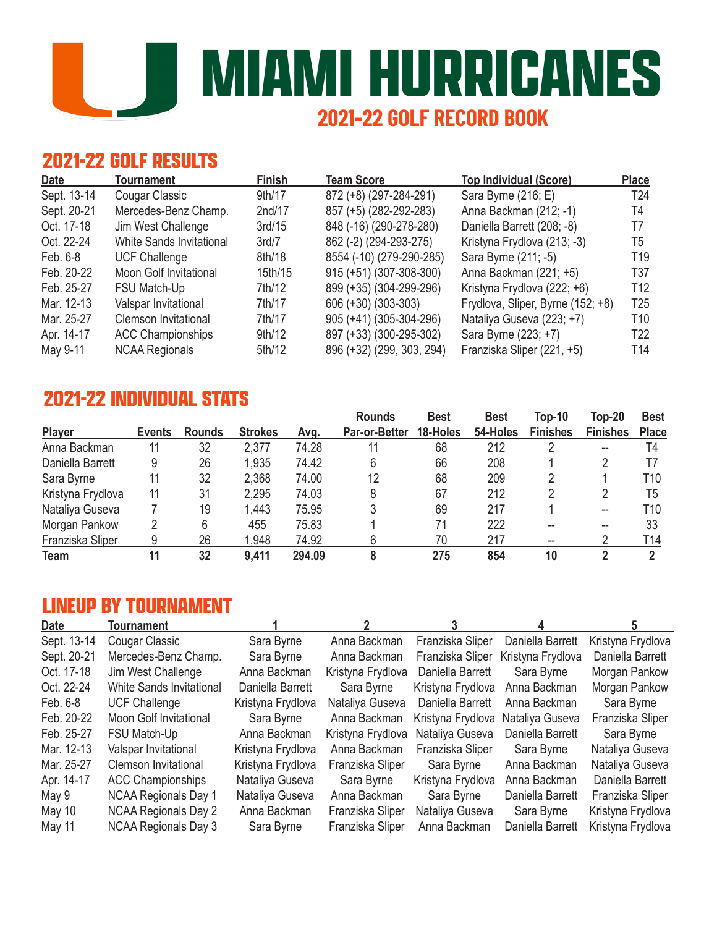**MIAMI HURRICANES 2021-22 GOLF RECORD BOOK**

## **2021-22 GOLF RESULTS**

| <b>Date</b> | Tournament                      | <b>Finish</b> | <b>Team Score</b>         | <b>Top Individual (Score)</b>     | <b>Place</b>    |
|-------------|---------------------------------|---------------|---------------------------|-----------------------------------|-----------------|
| Sept. 13-14 | Cougar Classic                  | 9th/17        | 872 (+8) (297-284-291)    | Sara Byrne (216; E)               | T <sub>24</sub> |
| Sept. 20-21 | Mercedes-Benz Champ.            | 2nd/17        | 857 (+5) (282-292-283)    | Anna Backman (212; -1)            | T4              |
| Oct. 17-18  | Jim West Challenge              | 3rd/15        | 848 (-16) (290-278-280)   | Daniella Barrett (208; -8)        | T7              |
| Oct. 22-24  | <b>White Sands Invitational</b> | 3rd/7         | 862 (-2) (294-293-275)    | Kristyna Frydlova (213; -3)       | T5              |
| Feb. 6-8    | <b>UCF Challenge</b>            | 8th/18        | 8554 (-10) (279-290-285)  | Sara Byrne (211; -5)              | T <sub>19</sub> |
| Feb. 20-22  | Moon Golf Invitational          | 15th/15       | 915 (+51) (307-308-300)   | Anna Backman (221; +5)            | T37             |
| Feb. 25-27  | FSU Match-Up                    | 7th/12        | 899 (+35) (304-299-296)   | Kristyna Frydlova (222; +6)       | T <sub>12</sub> |
| Mar. 12-13  | Valspar Invitational            | 7th/17        | 606 (+30) (303-303)       | Frydlova, Sliper, Byrne (152; +8) | T <sub>25</sub> |
| Mar. 25-27  | Clemson Invitational            | 7th/17        | 905 (+41) (305-304-296)   | Nataliya Guseva (223; +7)         | T <sub>10</sub> |
| Apr. 14-17  | <b>ACC Championships</b>        | 9th/12        | 897 (+33) (300-295-302)   | Sara Byrne (223; +7)              | T <sub>22</sub> |
| May 9-11    | <b>NCAA Regionals</b>           | 5th/12        | 896 (+32) (299, 303, 294) | Franziska Sliper (221, +5)        | T <sub>14</sub> |

### **2021-22 INDIVIDUAL STATS Rounds Best Best Top-10 Top-20 Best**

|                   |               |               |                |        | <b>Rounds</b>        | Best     | <b>Best</b> | Top-10          | Top-20          | <b>Best</b>     |
|-------------------|---------------|---------------|----------------|--------|----------------------|----------|-------------|-----------------|-----------------|-----------------|
| Player            | <b>Events</b> | <b>Rounds</b> | <b>Strokes</b> | Avq.   | <b>Par-or-Better</b> | 18-Holes | 54-Holes    | <b>Finishes</b> | <b>Finishes</b> | <b>Place</b>    |
| Anna Backman      | 11            | 32            | 2,377          | 74.28  |                      | 68       | 212         |                 | --              | T4              |
| Daniella Barrett  |               | 26            | 1,935          | 74.42  | 6                    | 66       | 208         |                 |                 |                 |
| Sara Byrne        | 11            | 32            | 2,368          | 74.00  | 12                   | 68       | 209         |                 |                 | T10             |
| Kristyna Frydlova | 11            | 31            | 2,295          | 74.03  |                      | 67       | 212         |                 |                 | T <sub>5</sub>  |
| Nataliya Guseva   |               | 19            | 1,443          | 75.95  |                      | 69       | 217         |                 | --              | T10             |
| Morgan Pankow     |               | 6             | 455            | 75.83  |                      | 71       | 222         |                 |                 | 33              |
| Franziska Sliper  |               | 26            | .948           | 74.92  |                      | 70       | 217         | $- -$           |                 | T <sub>14</sub> |
| Team              | 11            | 32            | 9,411          | 294.09 |                      | 275      | 854         | 10              |                 |                 |

### **LINEUP BY TOURNAMENT**

| <b>Date</b> | Tournament                    |                   |                   |                   |                   |                   |
|-------------|-------------------------------|-------------------|-------------------|-------------------|-------------------|-------------------|
| Sept. 13-14 | Cougar Classic                | Sara Byrne        | Anna Backman      | Franziska Sliper  | Daniella Barrett  | Kristyna Frydlova |
| Sept. 20-21 | Mercedes-Benz Champ.          | Sara Byrne        | Anna Backman      | Franziska Sliper  | Kristyna Frydlova | Daniella Barrett  |
| Oct. 17-18  | Jim West Challenge            | Anna Backman      | Kristyna Frydlova | Daniella Barrett  | Sara Byrne        | Morgan Pankow     |
| Oct. 22-24  | White Sands Invitational      | Daniella Barrett  | Sara Byrne        | Kristyna Frydlova | Anna Backman      | Morgan Pankow     |
| Feb. 6-8    | <b>UCF Challenge</b>          | Kristyna Frydlova | Nataliya Guseva   | Daniella Barrett  | Anna Backman      | Sara Byrne        |
| Feb. 20-22  | <b>Moon Golf Invitational</b> | Sara Byrne        | Anna Backman      | Kristyna Frydlova | Nataliya Guseva   | Franziska Sliper  |
| Feb. 25-27  | FSU Match-Up                  | Anna Backman      | Kristyna Frydlova | Nataliya Guseva   | Daniella Barrett  | Sara Byrne        |
| Mar. 12-13  | Valspar Invitational          | Kristyna Frydlova | Anna Backman      | Franziska Sliper  | Sara Byrne        | Nataliya Guseva   |
| Mar. 25-27  | <b>Clemson Invitational</b>   | Kristyna Frydlova | Franziska Sliper  | Sara Byrne        | Anna Backman      | Nataliya Guseva   |
| Apr. 14-17  | <b>ACC Championships</b>      | Nataliya Guseva   | Sara Byrne        | Kristyna Frydlova | Anna Backman      | Daniella Barrett  |
| May 9       | <b>NCAA Regionals Day 1</b>   | Nataliya Guseva   | Anna Backman      | Sara Byrne        | Daniella Barrett  | Franziska Sliper  |
| May 10      | <b>NCAA Regionals Day 2</b>   | Anna Backman      | Franziska Sliper  | Nataliya Guseva   | Sara Byrne        | Kristyna Frydlova |
| May 11      | <b>NCAA Regionals Day 3</b>   | Sara Byrne        | Franziska Sliper  | Anna Backman      | Daniella Barrett  | Kristyna Frydlova |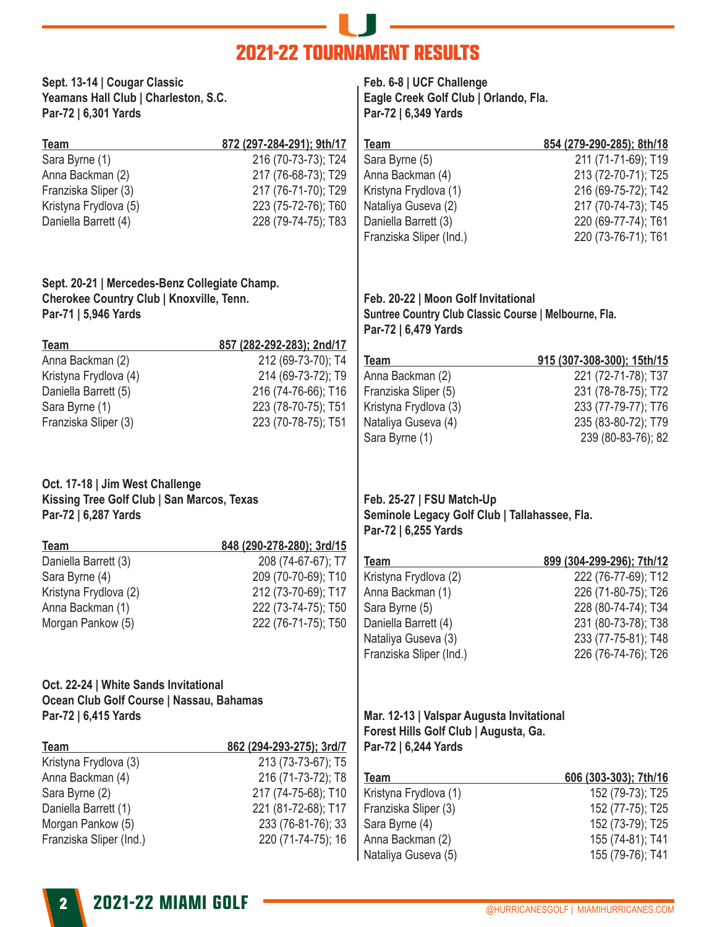# —— II — **2021-22 TOURNAMENT RESULTS**

| Sept. 13-14   Cougar Classic<br>Yeamans Hall Club   Charleston, S.C.<br>Par-72   6,301 Yards          |                           | Feb. 6-8   UCF Challenge<br>Eagle Creek Golf Club   Orlando, Fla.<br>Par-72   6,349 Yards          |                                      |  |  |  |
|-------------------------------------------------------------------------------------------------------|---------------------------|----------------------------------------------------------------------------------------------------|--------------------------------------|--|--|--|
| Team                                                                                                  | 872 (297-284-291); 9th/17 | <b>Team</b>                                                                                        | 854 (279-290-285); 8th/18            |  |  |  |
| Sara Byrne (1)                                                                                        | 216 (70-73-73); T24       | Sara Byrne (5)                                                                                     | 211 (71-71-69); T19                  |  |  |  |
| Anna Backman (2)                                                                                      | 217 (76-68-73); T29       | Anna Backman (4)                                                                                   | 213 (72-70-71); T25                  |  |  |  |
| Franziska Sliper (3)                                                                                  | 217 (76-71-70); T29       | Kristyna Frydlova (1)                                                                              | 216 (69-75-72); T42                  |  |  |  |
| Kristyna Frydlova (5)                                                                                 | 223 (75-72-76); T60       | Nataliya Guseva (2)                                                                                | 217 (70-74-73); T45                  |  |  |  |
| Daniella Barrett (4)                                                                                  | 228 (79-74-75); T83       | Daniella Barrett (3)                                                                               | 220 (69-77-74); T61                  |  |  |  |
|                                                                                                       |                           | Franziska Sliper (Ind.)                                                                            | 220 (73-76-71); T61                  |  |  |  |
| Sept. 20-21   Mercedes-Benz Collegiate Champ.                                                         |                           |                                                                                                    |                                      |  |  |  |
| <b>Cherokee Country Club   Knoxville, Tenn.</b>                                                       |                           | Feb. 20-22   Moon Golf Invitational                                                                |                                      |  |  |  |
| Par-71   5,946 Yards                                                                                  |                           | Suntree Country Club Classic Course   Melbourne, Fla.                                              |                                      |  |  |  |
|                                                                                                       |                           | Par-72   6,479 Yards                                                                               |                                      |  |  |  |
| <b>Team</b>                                                                                           | 857 (282-292-283); 2nd/17 |                                                                                                    |                                      |  |  |  |
| Anna Backman (2)                                                                                      | 212 (69-73-70); T4        | <b>Team</b>                                                                                        | 915 (307-308-300); 15th/15           |  |  |  |
| Kristyna Frydlova (4)                                                                                 | 214 (69-73-72); T9        | Anna Backman (2)                                                                                   | 221 (72-71-78); T37                  |  |  |  |
| Daniella Barrett (5)                                                                                  | 216 (74-76-66); T16       | Franziska Sliper (5)                                                                               | 231 (78-78-75); T72                  |  |  |  |
| Sara Byrne (1)                                                                                        | 223 (78-70-75); T51       | Kristyna Frydlova (3)                                                                              | 233 (77-79-77); T76                  |  |  |  |
| Franziska Sliper (3)                                                                                  | 223 (70-78-75); T51       | Nataliya Guseva (4)                                                                                | 235 (83-80-72); T79                  |  |  |  |
|                                                                                                       |                           | Sara Byrne (1)                                                                                     | 239 (80-83-76); 82                   |  |  |  |
| Oct. 17-18   Jim West Challenge<br>Kissing Tree Golf Club   San Marcos, Texas<br>Par-72   6,287 Yards |                           | Feb. 25-27   FSU Match-Up<br>Seminole Legacy Golf Club   Tallahassee, Fla.<br>Par-72   6,255 Yards |                                      |  |  |  |
| <b>Team</b>                                                                                           | 848 (290-278-280); 3rd/15 |                                                                                                    |                                      |  |  |  |
| Daniella Barrett (3)                                                                                  | 208 (74-67-67); T7        | <b>Team</b>                                                                                        | 899 (304-299-296); 7th/12            |  |  |  |
| Sara Byrne (4)                                                                                        | 209 (70-70-69); T10       | Kristyna Frydlova (2)                                                                              | 222 (76-77-69); T12                  |  |  |  |
| Kristyna Frydlova (2)                                                                                 | 212 (73-70-69); T17       | Anna Backman (1)                                                                                   | 226 (71-80-75); T26                  |  |  |  |
| Anna Backman (1)                                                                                      | 222 (73-74-75); T50       | Sara Byrne (5)                                                                                     | 228 (80-74-74); T34                  |  |  |  |
| Morgan Pankow (5)                                                                                     | 222 (76-71-75); T50       | Daniella Barrett (4)                                                                               | 231 (80-73-78); T38                  |  |  |  |
|                                                                                                       |                           | Nataliya Guseva (3)                                                                                | 233 (77-75-81); T48                  |  |  |  |
|                                                                                                       |                           | Franziska Sliper (Ind.)                                                                            | 226 (76-74-76); T26                  |  |  |  |
| Oct. 22-24   White Sands Invitational                                                                 |                           |                                                                                                    |                                      |  |  |  |
| Ocean Club Golf Course   Nassau, Bahamas                                                              |                           |                                                                                                    |                                      |  |  |  |
| Par-72   6,415 Yards                                                                                  |                           | Mar. 12-13   Valspar Augusta Invitational<br>Forest Hills Golf Club   Augusta, Ga.                 |                                      |  |  |  |
| <b>Team</b>                                                                                           | 862 (294-293-275); 3rd/7  | Par-72   6,244 Yards                                                                               |                                      |  |  |  |
| Kristyna Frydlova (3)                                                                                 | 213 (73-73-67); T5        |                                                                                                    |                                      |  |  |  |
| Anna Backman (4)                                                                                      | 216 (71-73-72); T8        | <b>Team</b>                                                                                        | 606 (303-303); 7th/16                |  |  |  |
| Sara Byrne (2)                                                                                        | 217 (74-75-68); T10       | Kristyna Frydlova (1)                                                                              | 152 (79-73); T25                     |  |  |  |
| Daniella Barrett (1)                                                                                  | 221 (81-72-68); T17       | Franziska Sliper (3)                                                                               | 152 (77-75); T25                     |  |  |  |
| Morgan Pankow (5)                                                                                     | 233 (76-81-76); 33        | Sara Byrne (4)                                                                                     | 152 (73-79); T25                     |  |  |  |
| Franziska Sliper (Ind.)                                                                               | 220 (71-74-75); 16        | Anna Backman (2)<br>Nataliya Guseva (5)                                                            | 155 (74-81); T41<br>155 (79-76); T41 |  |  |  |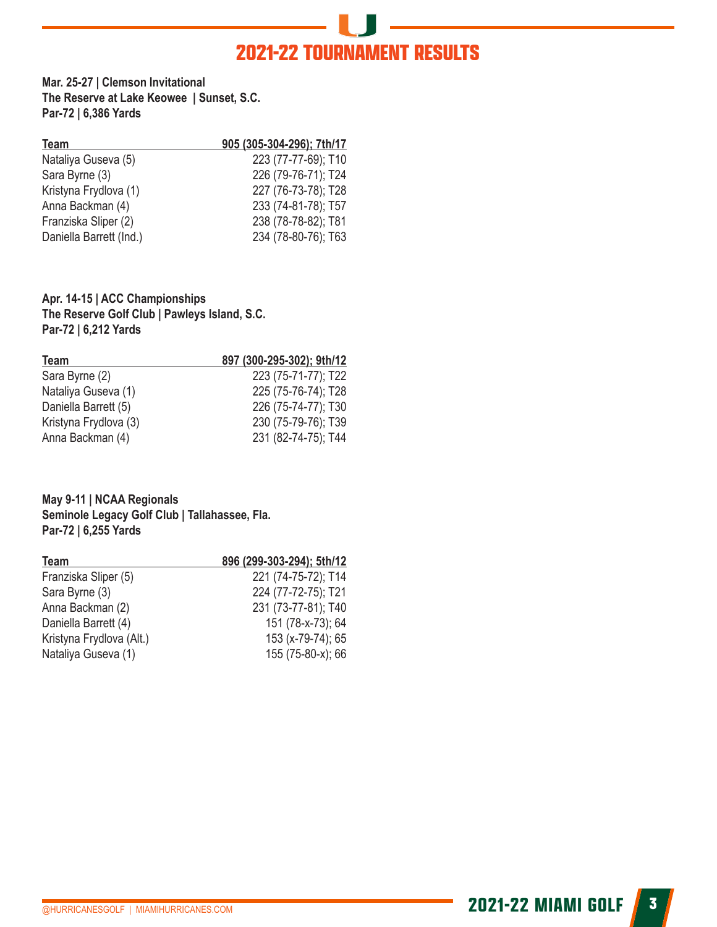# **2021-22 TOURNAMENT RESULTS**

**Mar. 25-27 | Clemson Invitational The Reserve at Lake Keowee | Sunset, S.C. Par-72 | 6,386 Yards**

| <b>Team</b>             | 905 (305-304-296); 7th/17 |
|-------------------------|---------------------------|
| Nataliya Guseva (5)     | 223 (77-77-69); T10       |
| Sara Byrne (3)          | 226 (79-76-71); T24       |
| Kristyna Frydlova (1)   | 227 (76-73-78); T28       |
| Anna Backman (4)        | 233 (74-81-78); T57       |
| Franziska Sliper (2)    | 238 (78-78-82); T81       |
| Daniella Barrett (Ind.) | 234 (78-80-76); T63       |

#### **Apr. 14-15 | ACC Championships The Reserve Golf Club | Pawleys Island, S.C. Par-72 | 6,212 Yards**

| Team                  | 897 (300-295-302); 9th/12 |
|-----------------------|---------------------------|
| Sara Byrne (2)        | 223 (75-71-77); T22       |
| Nataliya Guseva (1)   | 225 (75-76-74); T28       |
| Daniella Barrett (5)  | 226 (75-74-77); T30       |
| Kristyna Frydlova (3) | 230 (75-79-76); T39       |
| Anna Backman (4)      | 231 (82-74-75); T44       |

#### **May 9-11 | NCAA Regionals Seminole Legacy Golf Club | Tallahassee, Fla. Par-72 | 6,255 Yards**

| <b>Team</b>              | 896 (299-303-294); 5th/12 |
|--------------------------|---------------------------|
| Franziska Sliper (5)     | 221 (74-75-72); T14       |
| Sara Byrne (3)           | 224 (77-72-75); T21       |
| Anna Backman (2)         | 231 (73-77-81); T40       |
| Daniella Barrett (4)     | 151 (78-x-73); 64         |
| Kristyna Frydlova (Alt.) | 153 (x-79-74); 65         |
| Nataliya Guseva (1)      | 155 (75-80-x); 66         |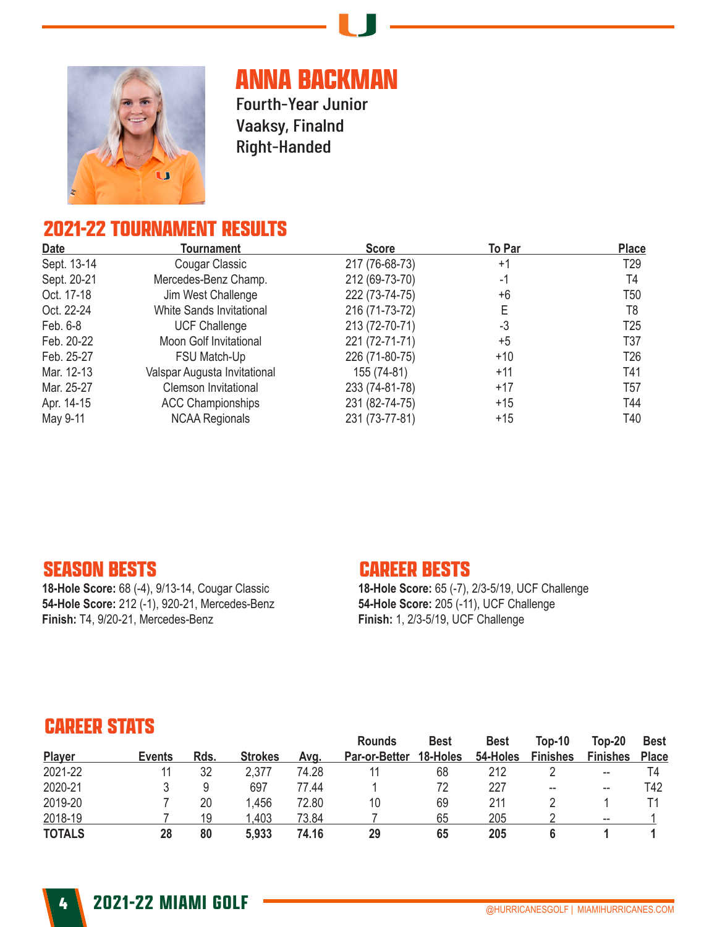

# **ANNA BACKMAN**

Fourth-Year Junior Vaaksy, Finalnd Right-Handed

### **2021-22 TOURNAMENT RESULTS**

| <b>Date</b> | <b>Tournament</b>             | <b>Score</b>   | To Par | <b>Place</b>    |
|-------------|-------------------------------|----------------|--------|-----------------|
| Sept. 13-14 | Cougar Classic                | 217 (76-68-73) | $+1$   | T <sub>29</sub> |
| Sept. 20-21 | Mercedes-Benz Champ.          | 212 (69-73-70) | -1     | T4              |
| Oct. 17-18  | Jim West Challenge            | 222 (73-74-75) | +6     | T50             |
| Oct. 22-24  | White Sands Invitational      | 216 (71-73-72) | Е      | T8              |
| Feb. 6-8    | <b>UCF Challenge</b>          | 213 (72-70-71) | -3     | T <sub>25</sub> |
| Feb. 20-22  | <b>Moon Golf Invitational</b> | 221 (72-71-71) | $+5$   | T37             |
| Feb. 25-27  | FSU Match-Up                  | 226 (71-80-75) | $+10$  | T <sub>26</sub> |
| Mar. 12-13  | Valspar Augusta Invitational  | 155 (74-81)    | $+11$  | T41             |
| Mar. 25-27  | <b>Clemson Invitational</b>   | 233 (74-81-78) | $+17$  | T57             |
| Apr. 14-15  | <b>ACC Championships</b>      | 231 (82-74-75) | $+15$  | T44             |
| May 9-11    | <b>NCAA Regionals</b>         | 231 (73-77-81) | $+15$  | T40             |

#### **SEASON BESTS**

**18-Hole Score:** 68 (-4), 9/13-14, Cougar Classic **54-Hole Score:** 212 (-1), 920-21, Mercedes-Benz **Finish:** T4, 9/20-21, Mercedes-Benz

#### **CAREER BESTS**

**18-Hole Score:** 65 (-7), 2/3-5/19, UCF Challenge **54-Hole Score:** 205 (-11), UCF Challenge **Finish:** 1, 2/3-5/19, UCF Challenge

| <b>EARER STATS</b> |               |      |                |       |                                       |                         |                         |                           |                           |                             |
|--------------------|---------------|------|----------------|-------|---------------------------------------|-------------------------|-------------------------|---------------------------|---------------------------|-----------------------------|
| Player             | <b>Events</b> | Rds. | <b>Strokes</b> | Avq.  | <b>Rounds</b><br><b>Par-or-Better</b> | <b>Best</b><br>18-Holes | <b>Best</b><br>54-Holes | Top-10<br><b>Finishes</b> | Top-20<br><b>Finishes</b> | <b>Best</b><br><b>Place</b> |
| 2021-22            | 11            | 32   | 2,377          | 74.28 | 11                                    | 68                      | 212                     |                           | --                        | T4                          |
| 2020-21            | 3             | 9    | 697            | 77.44 |                                       | 72                      | 227                     | $- -$                     | --                        | T42                         |
| 2019-20            |               | 20   | .456           | 72.80 | 10                                    | 69                      | 211                     |                           |                           |                             |
| 2018-19            |               | 19   | .403           | 73.84 |                                       | 65                      | 205                     |                           | --                        |                             |
| <b>TOTALS</b>      | 28            | 80   | 5,933          | 74.16 | 29                                    | 65                      | 205                     | 6                         |                           |                             |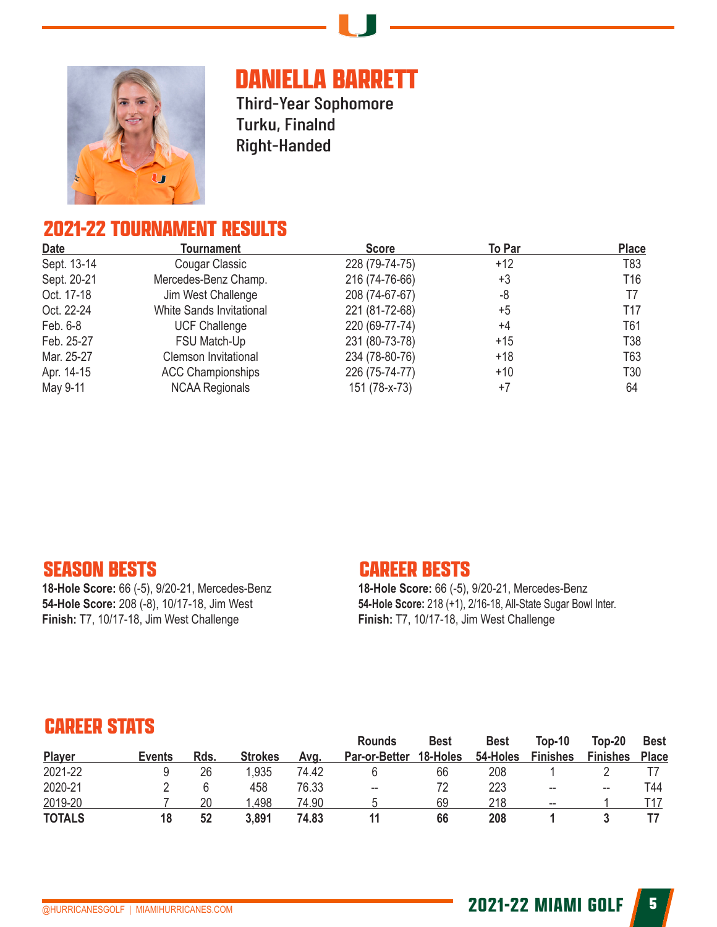

# **DANIELLA BARRETT**

Third-Year Sophomore Turku, Finalnd Right-Handed

### **2021-22 TOURNAMENT RESULTS**

| <b>Date</b> | <b>Tournament</b>           | <b>Score</b>   | <b>To Par</b> | <b>Place</b>    |
|-------------|-----------------------------|----------------|---------------|-----------------|
| Sept. 13-14 | Cougar Classic              | 228 (79-74-75) | +12           | T83             |
| Sept. 20-21 | Mercedes-Benz Champ.        | 216 (74-76-66) | +3            | T <sub>16</sub> |
| Oct. 17-18  | Jim West Challenge          | 208 (74-67-67) | -8            | T7              |
| Oct. 22-24  | White Sands Invitational    | 221 (81-72-68) | $+5$          | T17             |
| Feb. 6-8    | <b>UCF Challenge</b>        | 220 (69-77-74) | +4            | T61             |
| Feb. 25-27  | FSU Match-Up                | 231 (80-73-78) | $+15$         | T <sub>38</sub> |
| Mar. 25-27  | <b>Clemson Invitational</b> | 234 (78-80-76) | $+18$         | T63             |
| Apr. 14-15  | <b>ACC Championships</b>    | 226 (75-74-77) | +10           | T30             |
| May 9-11    | <b>NCAA Regionals</b>       | 151 (78-x-73)  | $+7$          | 64              |

#### **SEASON BESTS**

**18-Hole Score:** 66 (-5), 9/20-21, Mercedes-Benz **54-Hole Score:** 208 (-8), 10/17-18, Jim West **Finish:** T7, 10/17-18, Jim West Challenge

#### **CAREER BESTS**

**18-Hole Score:** 66 (-5), 9/20-21, Mercedes-Benz **54-Hole Score:** 218 (+1), 2/16-18, All-State Sugar Bowl Inter. **Finish:** T7, 10/17-18, Jim West Challenge

| <b>CAUSE STATS</b> |        |      |                |       |                                       |                         |                         |                           |                             |                             |
|--------------------|--------|------|----------------|-------|---------------------------------------|-------------------------|-------------------------|---------------------------|-----------------------------|-----------------------------|
| Player             | Events | Rds. | <b>Strokes</b> | Avg.  | <b>Rounds</b><br><b>Par-or-Better</b> | <b>Best</b><br>18-Holes | <b>Best</b><br>54-Holes | Top-10<br><b>Finishes</b> | $Top-20$<br><b>Finishes</b> | <b>Best</b><br><b>Place</b> |
|                    |        |      |                |       |                                       |                         |                         |                           |                             |                             |
| 2021-22            | 9      | 26   | .935           | 74.42 | b                                     | 66                      | 208                     |                           |                             |                             |
| 2020-21            |        | 6    | 458            | 76.33 | $- -$                                 | 72                      | 223                     | --                        | --                          | T44                         |
| 2019-20            |        | 20   | .498           | 74.90 |                                       | 69                      | 218                     | $\overline{\phantom{m}}$  |                             | T17                         |
| <b>TOTALS</b>      | 18     | 52   | 3,891          | 74.83 | 11                                    | 66                      | 208                     |                           |                             |                             |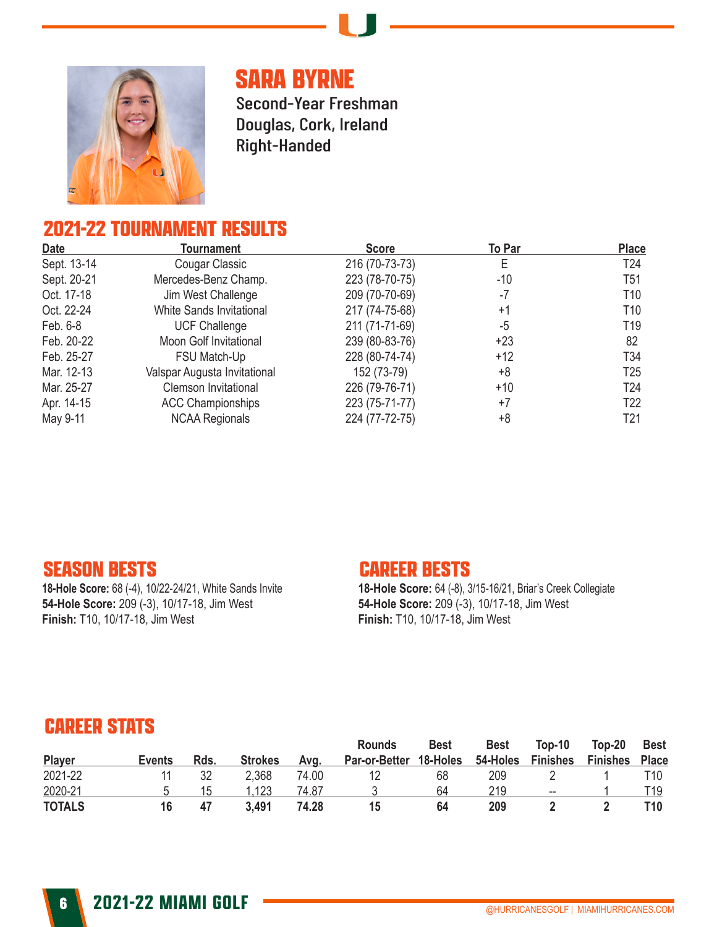

# **SARA BYRNE**

Second-Year Freshman Douglas, Cork, Ireland Right-Handed

### **2021-22 TOURNAMENT RESULTS**

| Date        | Tournament                   | <b>Score</b>   | To Par | <b>Place</b>    |
|-------------|------------------------------|----------------|--------|-----------------|
| Sept. 13-14 | Cougar Classic               | 216 (70-73-73) |        | T24             |
| Sept. 20-21 | Mercedes-Benz Champ.         | 223 (78-70-75) | -10    | T51             |
| Oct. 17-18  | Jim West Challenge           | 209 (70-70-69) | -7     | T10             |
| Oct. 22-24  | White Sands Invitational     | 217 (74-75-68) | $+1$   | T10             |
| Feb. 6-8    | <b>UCF Challenge</b>         | 211 (71-71-69) | -5     | T <sub>19</sub> |
| Feb. 20-22  | Moon Golf Invitational       | 239 (80-83-76) | $+23$  | 82              |
| Feb. 25-27  | FSU Match-Up                 | 228 (80-74-74) | $+12$  | T <sub>34</sub> |
| Mar. 12-13  | Valspar Augusta Invitational | 152 (73-79)    | +8     | T <sub>25</sub> |
| Mar. 25-27  | Clemson Invitational         | 226 (79-76-71) | $+10$  | T <sub>24</sub> |
| Apr. 14-15  | <b>ACC Championships</b>     | 223 (75-71-77) | $+7$   | T <sub>22</sub> |
| May 9-11    | <b>NCAA Regionals</b>        | 224 (77-72-75) | +8     | T21             |

#### **SEASON BESTS**

**18-Hole Score:** 68 (-4), 10/22-24/21, White Sands Invite **54-Hole Score:** 209 (-3), 10/17-18, Jim West **Finish:** T10, 10/17-18, Jim West

#### **CAREER BESTS**

**18-Hole Score:** 64 (-8), 3/15-16/21, Briar's Creek Collegiate **54-Hole Score:** 209 (-3), 10/17-18, Jim West **Finish:** T10, 10/17-18, Jim West

| <b>CAREER STATS</b> |        |      |                |       |                                |                         |                         |                             |                             |                             |  |  |
|---------------------|--------|------|----------------|-------|--------------------------------|-------------------------|-------------------------|-----------------------------|-----------------------------|-----------------------------|--|--|
| Player              | Events | Rds. | <b>Strokes</b> | Avq.  | <b>Rounds</b><br>Par-or-Better | <b>Best</b><br>18-Holes | <b>Best</b><br>54-Holes | $Top-10$<br><b>Finishes</b> | $Top-20$<br><b>Finishes</b> | <b>Best</b><br><b>Place</b> |  |  |
| 2021-22             |        | 32   | 2,368          | 74.00 |                                | 68                      | 209                     |                             |                             | T10                         |  |  |
| 2020-21             | h      | 15   | .123           | 74.87 |                                | 64                      | 219                     | $\overline{\phantom{a}}$    |                             | T19                         |  |  |
| <b>TOTALS</b>       | 16     | 47   | 3.491          | 74.28 | 15                             | 64                      | 209                     |                             |                             | T10                         |  |  |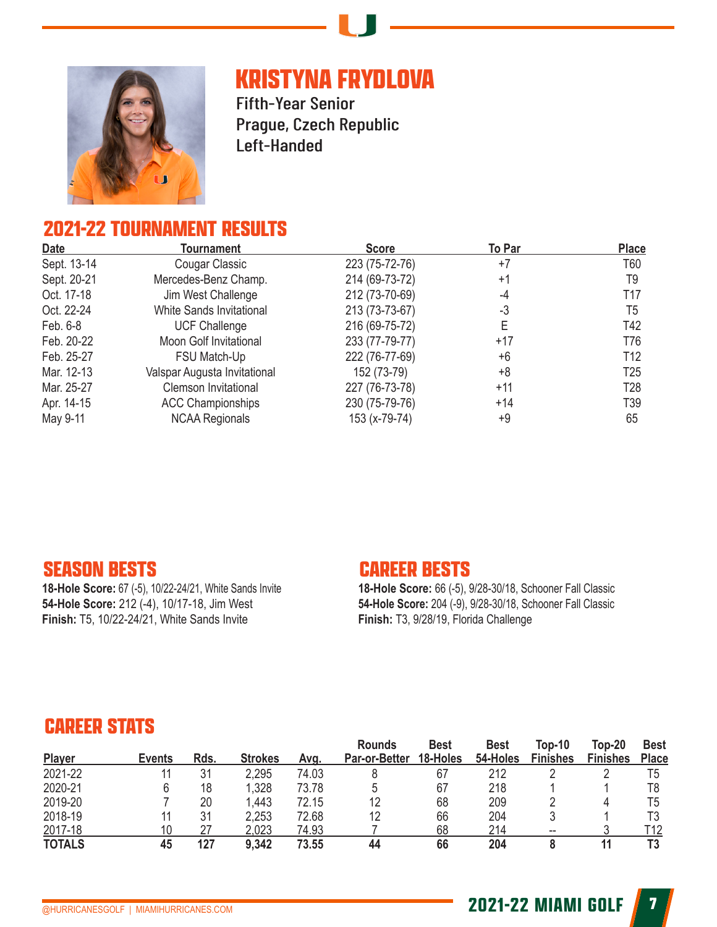

# **KRISTYNA FRYDLOVA**

Fifth-Year Senior Prague, Czech Republic Left-Handed

### **2021-22 TOURNAMENT RESULTS**

| <b>Date</b> | Tournament                   | <b>Score</b>   | To Par | <b>Place</b>    |
|-------------|------------------------------|----------------|--------|-----------------|
| Sept. 13-14 | Cougar Classic               | 223 (75-72-76) | $+7$   | T60             |
| Sept. 20-21 | Mercedes-Benz Champ.         | 214 (69-73-72) | $+1$   | T9              |
| Oct. 17-18  | Jim West Challenge           | 212 (73-70-69) | -4     | T17             |
| Oct. 22-24  | White Sands Invitational     | 213 (73-73-67) | -3     | T5              |
| Feb. 6-8    | <b>UCF Challenge</b>         | 216 (69-75-72) | Е      | T42             |
| Feb. 20-22  | Moon Golf Invitational       | 233 (77-79-77) | +17    | T76             |
| Feb. 25-27  | FSU Match-Up                 | 222 (76-77-69) | +6     | T <sub>12</sub> |
| Mar. 12-13  | Valspar Augusta Invitational | 152 (73-79)    | +8     | T <sub>25</sub> |
| Mar. 25-27  | <b>Clemson Invitational</b>  | 227 (76-73-78) | $+11$  | T <sub>28</sub> |
| Apr. 14-15  | <b>ACC Championships</b>     | 230 (75-79-76) | $+14$  | T39             |
| May 9-11    | <b>NCAA Regionals</b>        | 153 (x-79-74)  | +9     | 65              |

#### **SEASON BESTS**

**18-Hole Score:** 67 (-5), 10/22-24/21, White Sands Invite **54-Hole Score:** 212 (-4), 10/17-18, Jim West **Finish:** T5, 10/22-24/21, White Sands Invite

#### **CAREER BESTS**

**18-Hole Score:** 66 (-5), 9/28-30/18, Schooner Fall Classic **54-Hole Score:** 204 (-9), 9/28-30/18, Schooner Fall Classic **Finish:** T3, 9/28/19, Florida Challenge

| <b>CAREER STATS</b> |               |      |                |       |                                |                         |                         |                                  |                             |                             |  |
|---------------------|---------------|------|----------------|-------|--------------------------------|-------------------------|-------------------------|----------------------------------|-----------------------------|-----------------------------|--|
| Player              | <b>Events</b> | Rds. | <b>Strokes</b> | Avg.  | <b>Rounds</b><br>Par-or-Better | <b>Best</b><br>18-Holes | <b>Best</b><br>54-Holes | <b>Top-10</b><br><b>Finishes</b> | $Top-20$<br><b>Finishes</b> | <b>Best</b><br><b>Place</b> |  |
| 2021-22             |               | 31   | 2,295          | 74.03 |                                | 67                      | 212                     |                                  |                             | T <sub>5</sub>              |  |
| 2020-21             | 6             | 18   | ,328           | 73.78 | 5                              | 67                      | 218                     |                                  |                             | T8                          |  |
| 2019-20             |               | 20   | .443           | 72.15 | 12                             | 68                      | 209                     |                                  |                             | T5                          |  |
| 2018-19             |               | 31   | 2,253          | 72.68 | 12                             | 66                      | 204                     |                                  |                             | T3                          |  |
| 2017-18             | 10            | 27   | 2,023          | 74.93 |                                | 68                      | 214                     | $- -$                            |                             | T12                         |  |
| <b>TOTALS</b>       | 45            | 127  | 9,342          | 73.55 | 44                             | 66                      | 204                     | 8                                |                             | T3                          |  |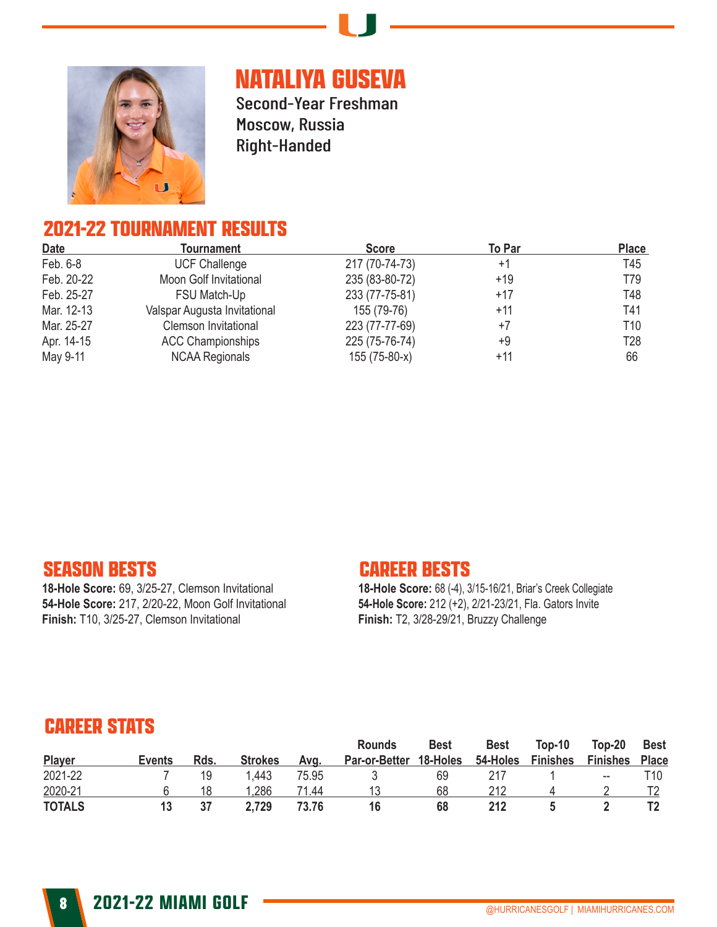

# **NATALIYA GUSEVA**

Second-Year Freshman Moscow, Russia Right-Handed

### **2021-22 TOURNAMENT RESULTS**

| <b>Date</b> | <b>Tournament</b>            | <b>Score</b>   | To Par | <b>Place</b>    |
|-------------|------------------------------|----------------|--------|-----------------|
| Feb. 6-8    | <b>UCF Challenge</b>         | 217 (70-74-73) | $+1$   | T45             |
| Feb. 20-22  | Moon Golf Invitational       | 235 (83-80-72) | $+19$  | T79             |
| Feb. 25-27  | FSU Match-Up                 | 233 (77-75-81) | $+17$  | T48             |
| Mar. 12-13  | Valspar Augusta Invitational | 155 (79-76)    | $+11$  | T41             |
| Mar. 25-27  | Clemson Invitational         | 223 (77-77-69) | $+7$   | T <sub>10</sub> |
| Apr. 14-15  | <b>ACC Championships</b>     | 225 (75-76-74) | +9     | T <sub>28</sub> |
| May 9-11    | <b>NCAA Regionals</b>        | 155 (75-80-x)  | $+11$  | 66              |

#### **SEASON BESTS**

**18-Hole Score:** 69, 3/25-27, Clemson Invitational **54-Hole Score:** 217, 2/20-22, Moon Golf Invitational **Finish:** T10, 3/25-27, Clemson Invitational

#### **CAREER BESTS**

**18-Hole Score:** 68 (-4), 3/15-16/21, Briar's Creek Collegiate **54-Hole Score:** 212 (+2), 2/21-23/21, Fla. Gators Invite **Finish:** T2, 3/28-29/21, Bruzzy Challenge

| <b>CAREER STATS</b> |               |      |                |       |                                |                         |                         |                             |                             |                             |  |  |
|---------------------|---------------|------|----------------|-------|--------------------------------|-------------------------|-------------------------|-----------------------------|-----------------------------|-----------------------------|--|--|
| Player              | <b>Events</b> | Rds. | <b>Strokes</b> | Ava.  | <b>Rounds</b><br>Par-or-Better | <b>Best</b><br>18-Holes | <b>Best</b><br>54-Holes | $Top-10$<br><b>Finishes</b> | $Top-20$<br><b>Finishes</b> | <b>Best</b><br><b>Place</b> |  |  |
| 2021-22             |               | 19   | 1,443          | 75.95 |                                | 69                      | 217                     |                             | $- -$                       | T10.                        |  |  |
| 2020-21             | h             | 18   | .286           | 71.44 |                                | 68                      | 212                     |                             |                             |                             |  |  |
| <b>TOTALS</b>       | 13            | 37   | 2,729          | 73.76 | 16                             | 68                      | 212                     |                             |                             |                             |  |  |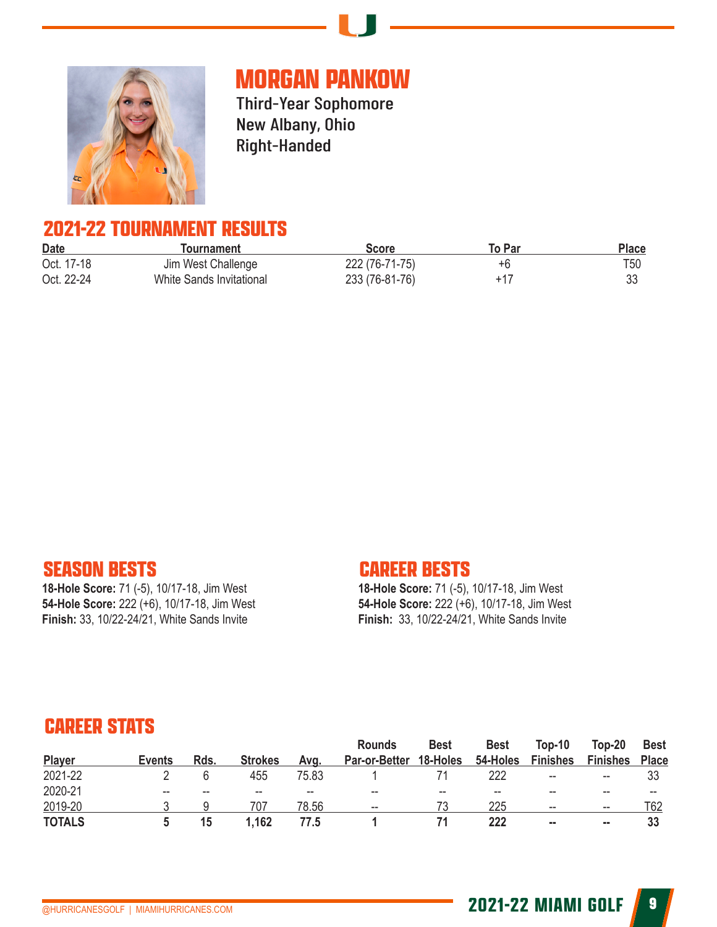

# **MORGAN PANKOW**

Third-Year Sophomore New Albany, Ohio Right-Handed

#### **2021-22 TOURNAMENT RESULTS**

| <b>Date</b> | Tournament               | <b>Score</b>   | To Par | Place |
|-------------|--------------------------|----------------|--------|-------|
| Oct. 17-18  | Jim West Challenge       | 222 (76-71-75) | +h     | T50   |
| Oct. 22-24  | White Sands Invitational | 233 (76-81-76) | +17    |       |

#### **SEASON BESTS**

**18-Hole Score:** 71 (-5), 10/17-18, Jim West **54-Hole Score:** 222 (+6), 10/17-18, Jim West **Finish:** 33, 10/22-24/21, White Sands Invite

#### **CAREER BESTS**

**18-Hole Score:** 71 (-5), 10/17-18, Jim West **54-Hole Score:** 222 (+6), 10/17-18, Jim West **Finish:** 33, 10/22-24/21, White Sands Invite

| <b>CAREER STATS</b> |               |      |                |       |                          |             |             |                          |                 |              |  |  |
|---------------------|---------------|------|----------------|-------|--------------------------|-------------|-------------|--------------------------|-----------------|--------------|--|--|
|                     |               |      |                |       | <b>Rounds</b>            | <b>Best</b> | <b>Best</b> | Top-10                   | $Top-20$        | <b>Best</b>  |  |  |
| Player              | <b>Events</b> | Rds. | <b>Strokes</b> | Avg.  | <b>Par-or-Better</b>     | 18-Holes    | 54-Holes    | <b>Finishes</b>          | <b>Finishes</b> | <b>Place</b> |  |  |
| 2021-22             |               | 6    | 455            | 75.83 |                          | 71          | 222         | $\overline{\phantom{a}}$ | --              | 33           |  |  |
| 2020-21             | $- -$         | --   |                | --    | --                       |             |             |                          |                 | --           |  |  |
| 2019-20             |               |      | 707            | 78.56 | $\overline{\phantom{a}}$ | 73          | 225         | $\overline{\phantom{a}}$ | --              | T62          |  |  |
| <b>TOTALS</b>       | 5             | 15   | 1,162          | 77.5  |                          | 71          | 222         | --                       | --              | 33           |  |  |